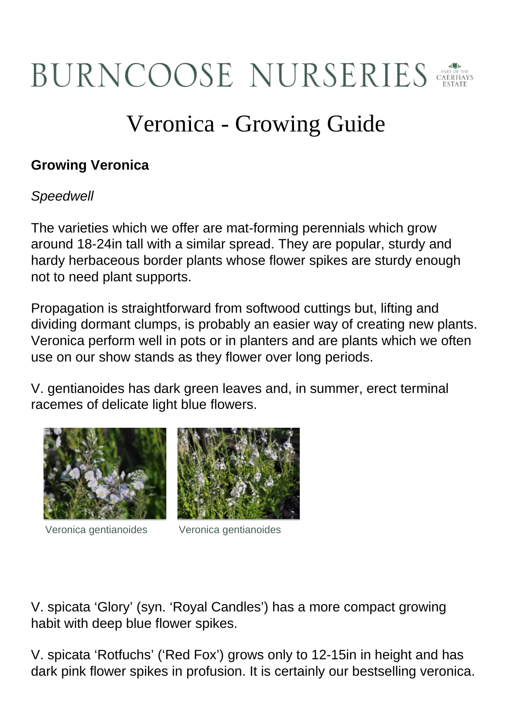## BURNCOOSE NURSERIES

## Veronica - Growing Guide

## **Growing Veronica**

## **Speedwell**

The varieties which we offer are mat-forming perennials which grow around 18-24in tall with a similar spread. They are popular, sturdy and hardy herbaceous border plants whose flower spikes are sturdy enough not to need plant supports.

Propagation is straightforward from softwood cuttings but, lifting and dividing dormant clumps, is probably an easier way of creating new plants. Veronica perform well in pots or in planters and are plants which we often use on our show stands as they flower over long periods.

V. gentianoides has dark green leaves and, in summer, erect terminal racemes of delicate light blue flowers.





Veronica gentianoides Veronica gentianoides

V. spicata 'Glory' (syn. 'Royal Candles') has a more compact growing habit with deep blue flower spikes.

V. spicata 'Rotfuchs' ('Red Fox') grows only to 12-15in in height and has dark pink flower spikes in profusion. It is certainly our bestselling veronica.